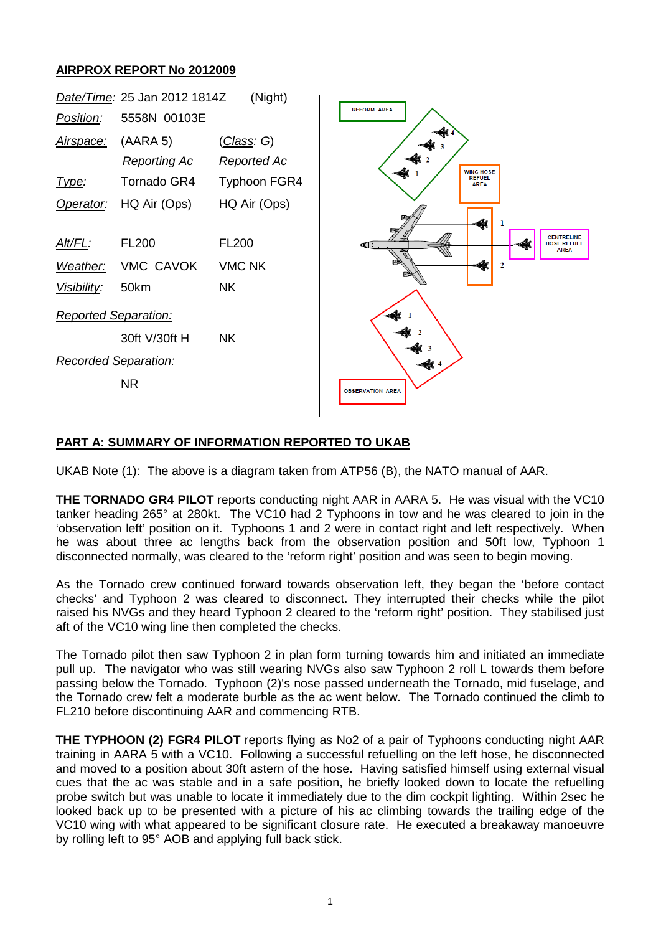## **AIRPROX REPORT No 2012009**



## **PART A: SUMMARY OF INFORMATION REPORTED TO UKAB**

UKAB Note (1): The above is a diagram taken from ATP56 (B), the NATO manual of AAR.

**THE TORNADO GR4 PILOT** reports conducting night AAR in AARA 5. He was visual with the VC10 tanker heading 265° at 280kt. The VC10 had 2 Typhoons in tow and he was cleared to join in the 'observation left' position on it. Typhoons 1 and 2 were in contact right and left respectively. When he was about three ac lengths back from the observation position and 50ft low, Typhoon 1 disconnected normally, was cleared to the 'reform right' position and was seen to begin moving.

As the Tornado crew continued forward towards observation left, they began the 'before contact checks' and Typhoon 2 was cleared to disconnect. They interrupted their checks while the pilot raised his NVGs and they heard Typhoon 2 cleared to the 'reform right' position. They stabilised just aft of the VC10 wing line then completed the checks.

The Tornado pilot then saw Typhoon 2 in plan form turning towards him and initiated an immediate pull up. The navigator who was still wearing NVGs also saw Typhoon 2 roll L towards them before passing below the Tornado. Typhoon (2)'s nose passed underneath the Tornado, mid fuselage, and the Tornado crew felt a moderate burble as the ac went below. The Tornado continued the climb to FL210 before discontinuing AAR and commencing RTB.

**THE TYPHOON (2) FGR4 PILOT** reports flying as No2 of a pair of Typhoons conducting night AAR training in AARA 5 with a VC10. Following a successful refuelling on the left hose, he disconnected and moved to a position about 30ft astern of the hose. Having satisfied himself using external visual cues that the ac was stable and in a safe position, he briefly looked down to locate the refuelling probe switch but was unable to locate it immediately due to the dim cockpit lighting. Within 2sec he looked back up to be presented with a picture of his ac climbing towards the trailing edge of the VC10 wing with what appeared to be significant closure rate. He executed a breakaway manoeuvre by rolling left to 95° AOB and applying full back stick.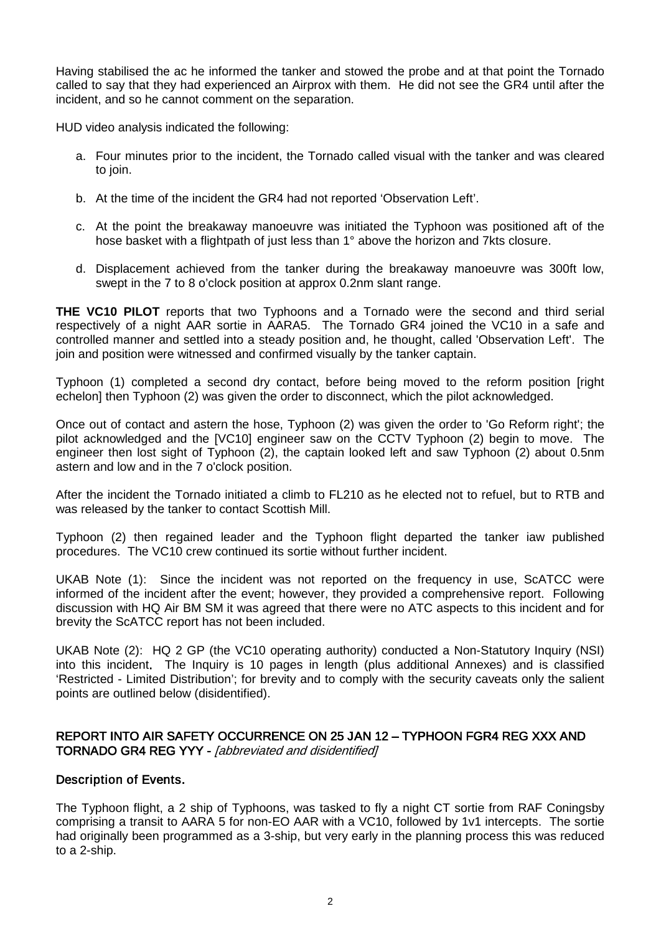Having stabilised the ac he informed the tanker and stowed the probe and at that point the Tornado called to say that they had experienced an Airprox with them. He did not see the GR4 until after the incident, and so he cannot comment on the separation.

HUD video analysis indicated the following:

- a. Four minutes prior to the incident, the Tornado called visual with the tanker and was cleared to join.
- b. At the time of the incident the GR4 had not reported 'Observation Left'.
- c. At the point the breakaway manoeuvre was initiated the Typhoon was positioned aft of the hose basket with a flightpath of just less than 1° above the horizon and 7kts closure.
- d. Displacement achieved from the tanker during the breakaway manoeuvre was 300ft low, swept in the 7 to 8 o'clock position at approx 0.2nm slant range.

**THE VC10 PILOT** reports that two Typhoons and a Tornado were the second and third serial respectively of a night AAR sortie in AARA5. The Tornado GR4 joined the VC10 in a safe and controlled manner and settled into a steady position and, he thought, called 'Observation Left'. The join and position were witnessed and confirmed visually by the tanker captain.

Typhoon (1) completed a second dry contact, before being moved to the reform position [right echelon] then Typhoon (2) was given the order to disconnect, which the pilot acknowledged.

Once out of contact and astern the hose, Typhoon (2) was given the order to 'Go Reform right'; the pilot acknowledged and the [VC10] engineer saw on the CCTV Typhoon (2) begin to move. The engineer then lost sight of Typhoon (2), the captain looked left and saw Typhoon (2) about 0.5nm astern and low and in the 7 o'clock position.

After the incident the Tornado initiated a climb to FL210 as he elected not to refuel, but to RTB and was released by the tanker to contact Scottish Mill.

Typhoon (2) then regained leader and the Typhoon flight departed the tanker iaw published procedures. The VC10 crew continued its sortie without further incident.

UKAB Note (1): Since the incident was not reported on the frequency in use, ScATCC were informed of the incident after the event; however, they provided a comprehensive report. Following discussion with HQ Air BM SM it was agreed that there were no ATC aspects to this incident and for brevity the ScATCC report has not been included.

UKAB Note (2): HQ 2 GP (the VC10 operating authority) conducted a Non-Statutory Inquiry (NSI) into this incident. The Inquiry is 10 pages in length (plus additional Annexes) and is classified 'Restricted - Limited Distribution'; for brevity and to comply with the security caveats only the salient points are outlined below (disidentified).

# REPORT INTO AIR SAFETY OCCURRENCE ON 25 JAN 12 – TYPHOON FGR4 REG XXX AND TORNADO GR4 REG YYY - [abbreviated and disidentified]

#### Description of Events.

The Typhoon flight, a 2 ship of Typhoons, was tasked to fly a night CT sortie from RAF Coningsby comprising a transit to AARA 5 for non-EO AAR with a VC10, followed by 1v1 intercepts. The sortie had originally been programmed as a 3-ship, but very early in the planning process this was reduced to a 2-ship.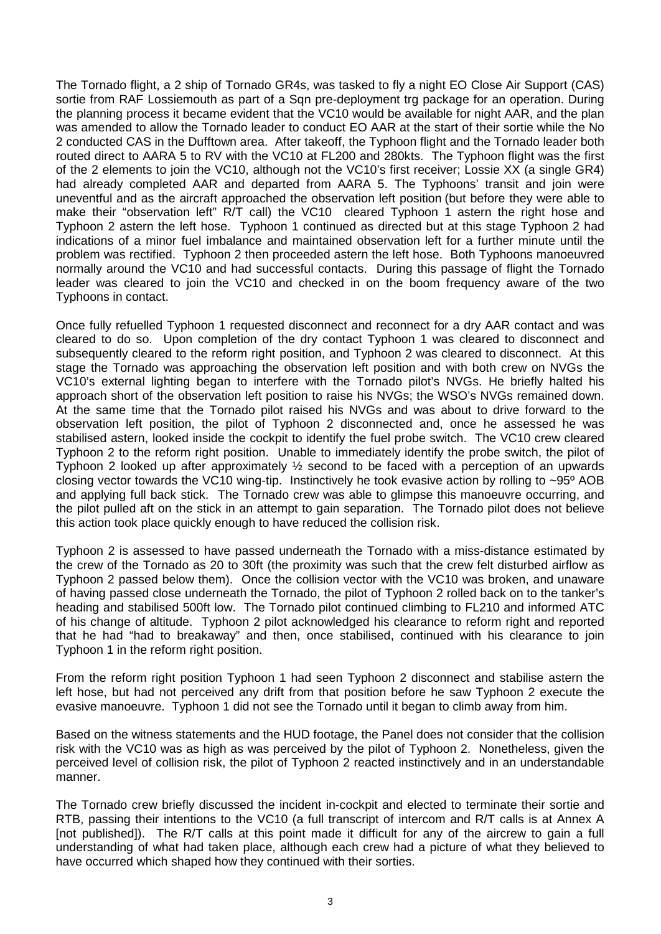The Tornado flight, a 2 ship of Tornado GR4s, was tasked to fly a night EO Close Air Support (CAS) sortie from RAF Lossiemouth as part of a Sqn pre-deployment trg package for an operation. During the planning process it became evident that the VC10 would be available for night AAR, and the plan was amended to allow the Tornado leader to conduct EO AAR at the start of their sortie while the No 2 conducted CAS in the Dufftown area. After takeoff, the Typhoon flight and the Tornado leader both routed direct to AARA 5 to RV with the VC10 at FL200 and 280kts. The Typhoon flight was the first of the 2 elements to join the VC10, although not the VC10's first receiver; Lossie XX (a single GR4) had already completed AAR and departed from AARA 5. The Typhoons' transit and join were uneventful and as the aircraft approached the observation left position (but before they were able to make their "observation left" R/T call) the VC10 cleared Typhoon 1 astern the right hose and Typhoon 2 astern the left hose. Typhoon 1 continued as directed but at this stage Typhoon 2 had indications of a minor fuel imbalance and maintained observation left for a further minute until the problem was rectified. Typhoon 2 then proceeded astern the left hose. Both Typhoons manoeuvred normally around the VC10 and had successful contacts. During this passage of flight the Tornado leader was cleared to join the VC10 and checked in on the boom frequency aware of the two Typhoons in contact.

Once fully refuelled Typhoon 1 requested disconnect and reconnect for a dry AAR contact and was cleared to do so. Upon completion of the dry contact Typhoon 1 was cleared to disconnect and subsequently cleared to the reform right position, and Typhoon 2 was cleared to disconnect. At this stage the Tornado was approaching the observation left position and with both crew on NVGs the VC10's external lighting began to interfere with the Tornado pilot's NVGs. He briefly halted his approach short of the observation left position to raise his NVGs; the WSO's NVGs remained down. At the same time that the Tornado pilot raised his NVGs and was about to drive forward to the observation left position, the pilot of Typhoon 2 disconnected and, once he assessed he was stabilised astern, looked inside the cockpit to identify the fuel probe switch. The VC10 crew cleared Typhoon 2 to the reform right position. Unable to immediately identify the probe switch, the pilot of Typhoon 2 looked up after approximately ½ second to be faced with a perception of an upwards closing vector towards the VC10 wing-tip. Instinctively he took evasive action by rolling to ~95º AOB and applying full back stick. The Tornado crew was able to glimpse this manoeuvre occurring, and the pilot pulled aft on the stick in an attempt to gain separation. The Tornado pilot does not believe this action took place quickly enough to have reduced the collision risk.

Typhoon 2 is assessed to have passed underneath the Tornado with a miss-distance estimated by the crew of the Tornado as 20 to 30ft (the proximity was such that the crew felt disturbed airflow as Typhoon 2 passed below them). Once the collision vector with the VC10 was broken, and unaware of having passed close underneath the Tornado, the pilot of Typhoon 2 rolled back on to the tanker's heading and stabilised 500ft low. The Tornado pilot continued climbing to FL210 and informed ATC of his change of altitude. Typhoon 2 pilot acknowledged his clearance to reform right and reported that he had "had to breakaway" and then, once stabilised, continued with his clearance to join Typhoon 1 in the reform right position.

From the reform right position Typhoon 1 had seen Typhoon 2 disconnect and stabilise astern the left hose, but had not perceived any drift from that position before he saw Typhoon 2 execute the evasive manoeuvre. Typhoon 1 did not see the Tornado until it began to climb away from him.

Based on the witness statements and the HUD footage, the Panel does not consider that the collision risk with the VC10 was as high as was perceived by the pilot of Typhoon 2. Nonetheless, given the perceived level of collision risk, the pilot of Typhoon 2 reacted instinctively and in an understandable manner.

The Tornado crew briefly discussed the incident in-cockpit and elected to terminate their sortie and RTB, passing their intentions to the VC10 (a full transcript of intercom and R/T calls is at Annex A [not published]). The R/T calls at this point made it difficult for any of the aircrew to gain a full understanding of what had taken place, although each crew had a picture of what they believed to have occurred which shaped how they continued with their sorties.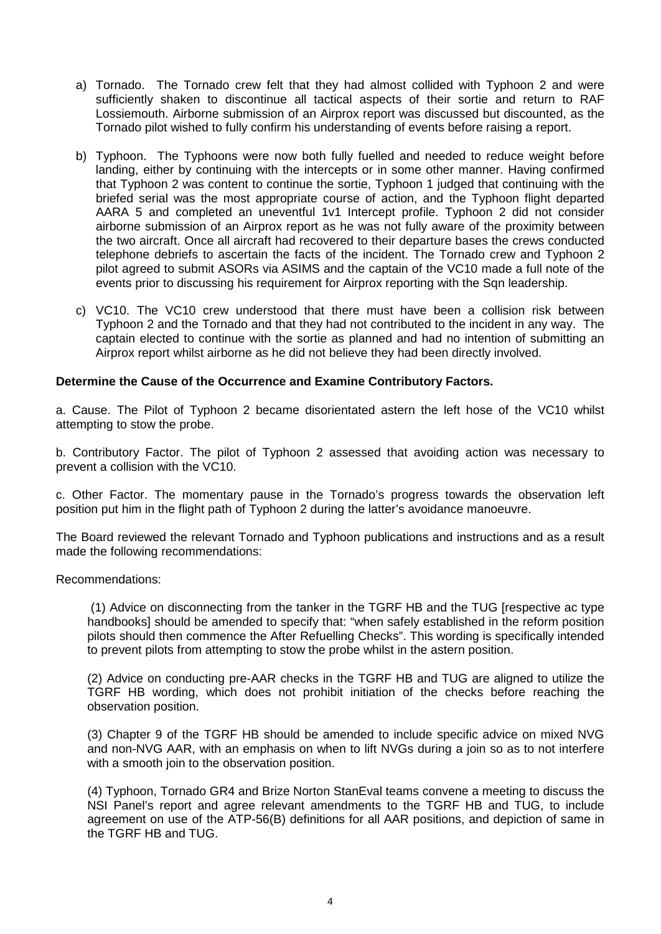- a) Tornado. The Tornado crew felt that they had almost collided with Typhoon 2 and were sufficiently shaken to discontinue all tactical aspects of their sortie and return to RAF Lossiemouth. Airborne submission of an Airprox report was discussed but discounted, as the Tornado pilot wished to fully confirm his understanding of events before raising a report.
- b) Typhoon. The Typhoons were now both fully fuelled and needed to reduce weight before landing, either by continuing with the intercepts or in some other manner. Having confirmed that Typhoon 2 was content to continue the sortie, Typhoon 1 judged that continuing with the briefed serial was the most appropriate course of action, and the Typhoon flight departed AARA 5 and completed an uneventful 1v1 Intercept profile. Typhoon 2 did not consider airborne submission of an Airprox report as he was not fully aware of the proximity between the two aircraft. Once all aircraft had recovered to their departure bases the crews conducted telephone debriefs to ascertain the facts of the incident. The Tornado crew and Typhoon 2 pilot agreed to submit ASORs via ASIMS and the captain of the VC10 made a full note of the events prior to discussing his requirement for Airprox reporting with the Sqn leadership.
- c) VC10. The VC10 crew understood that there must have been a collision risk between Typhoon 2 and the Tornado and that they had not contributed to the incident in any way. The captain elected to continue with the sortie as planned and had no intention of submitting an Airprox report whilst airborne as he did not believe they had been directly involved.

#### **Determine the Cause of the Occurrence and Examine Contributory Factors.**

a. Cause. The Pilot of Typhoon 2 became disorientated astern the left hose of the VC10 whilst attempting to stow the probe.

b. Contributory Factor. The pilot of Typhoon 2 assessed that avoiding action was necessary to prevent a collision with the VC10.

c. Other Factor. The momentary pause in the Tornado's progress towards the observation left position put him in the flight path of Typhoon 2 during the latter's avoidance manoeuvre.

The Board reviewed the relevant Tornado and Typhoon publications and instructions and as a result made the following recommendations:

Recommendations:

(1) Advice on disconnecting from the tanker in the TGRF HB and the TUG [respective ac type handbooks] should be amended to specify that: "when safely established in the reform position pilots should then commence the After Refuelling Checks". This wording is specifically intended to prevent pilots from attempting to stow the probe whilst in the astern position.

(2) Advice on conducting pre-AAR checks in the TGRF HB and TUG are aligned to utilize the TGRF HB wording, which does not prohibit initiation of the checks before reaching the observation position.

(3) Chapter 9 of the TGRF HB should be amended to include specific advice on mixed NVG and non-NVG AAR, with an emphasis on when to lift NVGs during a join so as to not interfere with a smooth join to the observation position.

(4) Typhoon, Tornado GR4 and Brize Norton StanEval teams convene a meeting to discuss the NSI Panel's report and agree relevant amendments to the TGRF HB and TUG, to include agreement on use of the ATP-56(B) definitions for all AAR positions, and depiction of same in the TGRF HB and TUG.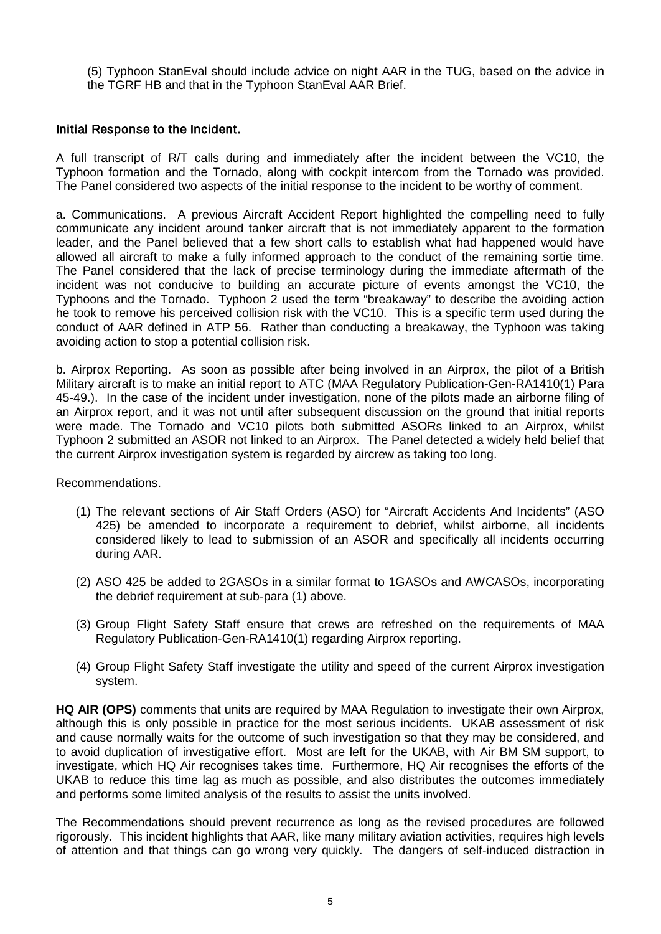(5) Typhoon StanEval should include advice on night AAR in the TUG, based on the advice in the TGRF HB and that in the Typhoon StanEval AAR Brief.

### Initial Response to the Incident.

A full transcript of R/T calls during and immediately after the incident between the VC10, the Typhoon formation and the Tornado, along with cockpit intercom from the Tornado was provided. The Panel considered two aspects of the initial response to the incident to be worthy of comment.

a. Communications. A previous Aircraft Accident Report highlighted the compelling need to fully communicate any incident around tanker aircraft that is not immediately apparent to the formation leader, and the Panel believed that a few short calls to establish what had happened would have allowed all aircraft to make a fully informed approach to the conduct of the remaining sortie time. The Panel considered that the lack of precise terminology during the immediate aftermath of the incident was not conducive to building an accurate picture of events amongst the VC10, the Typhoons and the Tornado. Typhoon 2 used the term "breakaway" to describe the avoiding action he took to remove his perceived collision risk with the VC10. This is a specific term used during the conduct of AAR defined in ATP 56. Rather than conducting a breakaway, the Typhoon was taking avoiding action to stop a potential collision risk.

b. Airprox Reporting. As soon as possible after being involved in an Airprox, the pilot of a British Military aircraft is to make an initial report to ATC (MAA Regulatory Publication-Gen-RA1410(1) Para 45-49.). In the case of the incident under investigation, none of the pilots made an airborne filing of an Airprox report, and it was not until after subsequent discussion on the ground that initial reports were made. The Tornado and VC10 pilots both submitted ASORs linked to an Airprox, whilst Typhoon 2 submitted an ASOR not linked to an Airprox. The Panel detected a widely held belief that the current Airprox investigation system is regarded by aircrew as taking too long.

Recommendations.

- (1) The relevant sections of Air Staff Orders (ASO) for "Aircraft Accidents And Incidents" (ASO 425) be amended to incorporate a requirement to debrief, whilst airborne, all incidents considered likely to lead to submission of an ASOR and specifically all incidents occurring during AAR.
- (2) ASO 425 be added to 2GASOs in a similar format to 1GASOs and AWCASOs, incorporating the debrief requirement at sub-para (1) above.
- (3) Group Flight Safety Staff ensure that crews are refreshed on the requirements of MAA Regulatory Publication-Gen-RA1410(1) regarding Airprox reporting.
- (4) Group Flight Safety Staff investigate the utility and speed of the current Airprox investigation system.

**HQ AIR (OPS)** comments that units are required by MAA Regulation to investigate their own Airprox, although this is only possible in practice for the most serious incidents. UKAB assessment of risk and cause normally waits for the outcome of such investigation so that they may be considered, and to avoid duplication of investigative effort. Most are left for the UKAB, with Air BM SM support, to investigate, which HQ Air recognises takes time. Furthermore, HQ Air recognises the efforts of the UKAB to reduce this time lag as much as possible, and also distributes the outcomes immediately and performs some limited analysis of the results to assist the units involved.

The Recommendations should prevent recurrence as long as the revised procedures are followed rigorously. This incident highlights that AAR, like many military aviation activities, requires high levels of attention and that things can go wrong very quickly. The dangers of self-induced distraction in